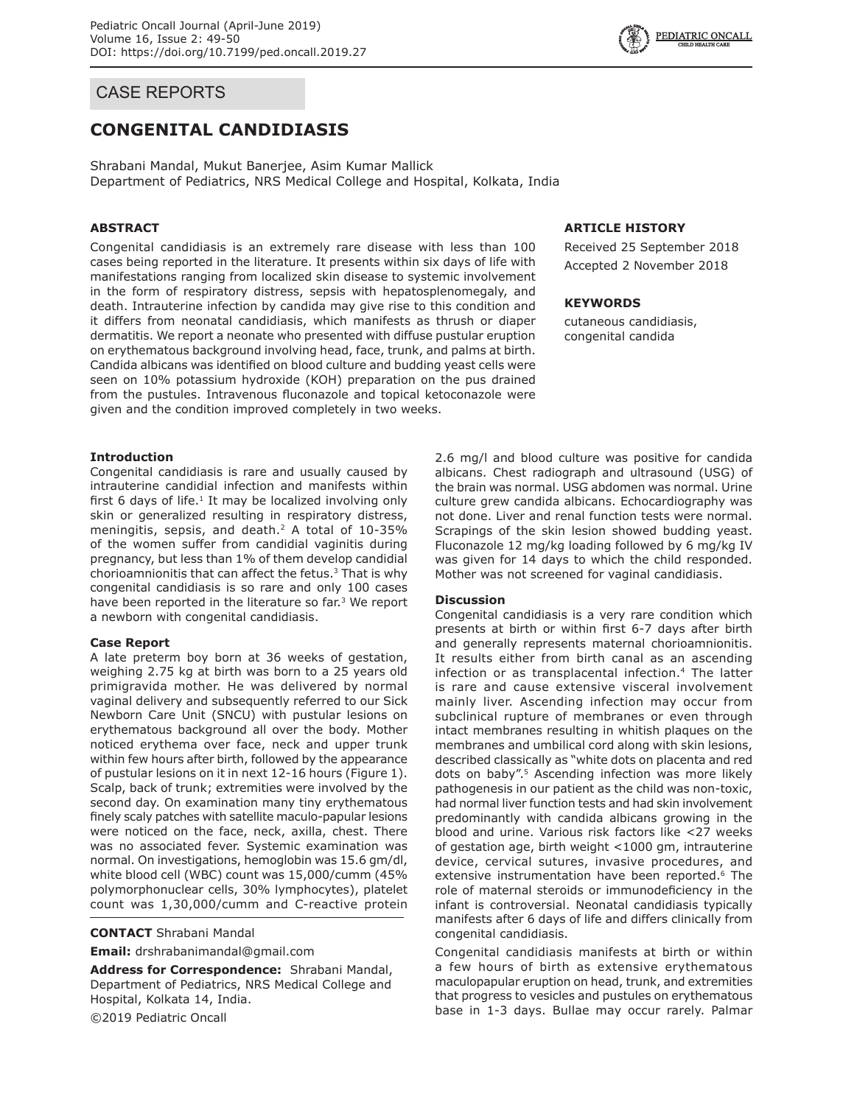## CASE REPORTS

# **CONGENITAL CANDIDIASIS**

Shrabani Mandal, Mukut Banerjee, Asim Kumar Mallick Department of Pediatrics, NRS Medical College and Hospital, Kolkata, India

## **ABSTRACT**

Congenital candidiasis is an extremely rare disease with less than 100 cases being reported in the literature. It presents within six days of life with manifestations ranging from localized skin disease to systemic involvement in the form of respiratory distress, sepsis with hepatosplenomegaly, and death. Intrauterine infection by candida may give rise to this condition and it differs from neonatal candidiasis, which manifests as thrush or diaper dermatitis. We report a neonate who presented with diffuse pustular eruption on erythematous background involving head, face, trunk, and palms at birth. Candida albicans was identified on blood culture and budding yeast cells were seen on 10% potassium hydroxide (KOH) preparation on the pus drained from the pustules. Intravenous fluconazole and topical ketoconazole were given and the condition improved completely in two weeks.

## **Introduction**

Congenital candidiasis is rare and usually caused by intrauterine candidial infection and manifests within first 6 days of life. $1$  It may be localized involving only skin or generalized resulting in respiratory distress, meningitis, sepsis, and death.<sup>2</sup> A total of 10-35% of the women suffer from candidial vaginitis during pregnancy, but less than 1% of them develop candidial chorioamnionitis that can affect the fetus. $3$  That is why congenital candidiasis is so rare and only 100 cases have been reported in the literature so far.<sup>3</sup> We report a newborn with congenital candidiasis.

#### **Case Report**

A late preterm boy born at 36 weeks of gestation, weighing 2.75 kg at birth was born to a 25 years old primigravida mother. He was delivered by normal vaginal delivery and subsequently referred to our Sick Newborn Care Unit (SNCU) with pustular lesions on erythematous background all over the body. Mother noticed erythema over face, neck and upper trunk within few hours after birth, followed by the appearance of pustular lesions on it in next 12-16 hours (Figure 1). Scalp, back of trunk; extremities were involved by the second day. On examination many tiny erythematous finely scaly patches with satellite maculo-papular lesions were noticed on the face, neck, axilla, chest. There was no associated fever. Systemic examination was normal. On investigations, hemoglobin was 15.6 gm/dl, white blood cell (WBC) count was 15,000/cumm (45% polymorphonuclear cells, 30% lymphocytes), platelet count was 1,30,000/cumm and C-reactive protein

**CONTACT** Shrabani Mandal

**Email:** drshrabanimandal@gmail.com

**Address for Correspondence:** Shrabani Mandal, Department of Pediatrics, NRS Medical College and Hospital, Kolkata 14, India.

©2019 Pediatric Oncall

## **ARTICLE HISTORY**

Received 25 September 2018 Accepted 2 November 2018

### **KEYWORDS**

cutaneous candidiasis, congenital candida

2.6 mg/l and blood culture was positive for candida albicans. Chest radiograph and ultrasound (USG) of the brain was normal. USG abdomen was normal. Urine culture grew candida albicans. Echocardiography was not done. Liver and renal function tests were normal. Scrapings of the skin lesion showed budding yeast. Fluconazole 12 mg/kg loading followed by 6 mg/kg IV was given for 14 days to which the child responded. Mother was not screened for vaginal candidiasis.

## **Discussion**

Congenital candidiasis is a very rare condition which presents at birth or within first 6-7 days after birth and generally represents maternal chorioamnionitis. It results either from birth canal as an ascending infection or as transplacental infection.4 The latter is rare and cause extensive visceral involvement mainly liver. Ascending infection may occur from subclinical rupture of membranes or even through intact membranes resulting in whitish plaques on the membranes and umbilical cord along with skin lesions, described classically as "white dots on placenta and red dots on baby".<sup>5</sup> Ascending infection was more likely pathogenesis in our patient as the child was non-toxic, had normal liver function tests and had skin involvement predominantly with candida albicans growing in the blood and urine. Various risk factors like <27 weeks of gestation age, birth weight <1000 gm, intrauterine device, cervical sutures, invasive procedures, and extensive instrumentation have been reported.<sup>6</sup> The role of maternal steroids or immunodeficiency in the infant is controversial. Neonatal candidiasis typically manifests after 6 days of life and differs clinically from congenital candidiasis.

Congenital candidiasis manifests at birth or within a few hours of birth as extensive erythematous maculopapular eruption on head, trunk, and extremities that progress to vesicles and pustules on erythematous base in 1-3 days. Bullae may occur rarely. Palmar